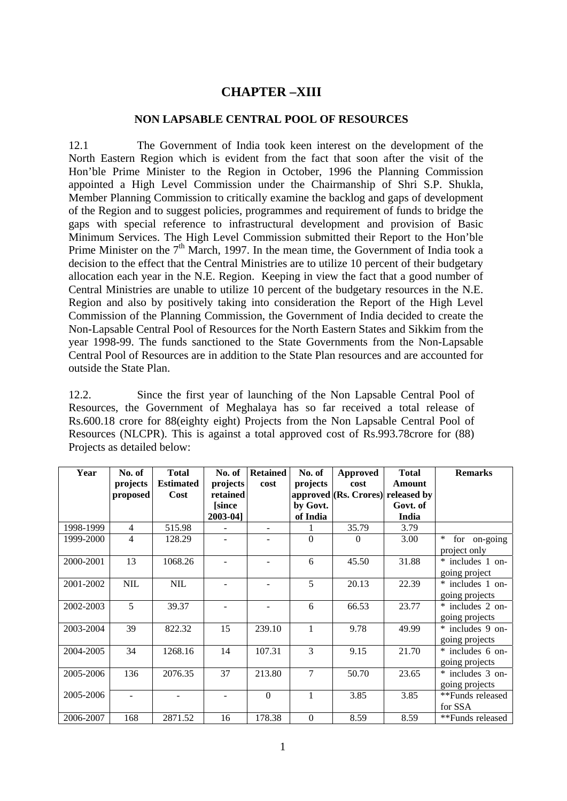## **CHAPTER –XIII**

## **NON LAPSABLE CENTRAL POOL OF RESOURCES**

12.1 The Government of India took keen interest on the development of the North Eastern Region which is evident from the fact that soon after the visit of the Hon'ble Prime Minister to the Region in October, 1996 the Planning Commission appointed a High Level Commission under the Chairmanship of Shri S.P. Shukla, Member Planning Commission to critically examine the backlog and gaps of development of the Region and to suggest policies, programmes and requirement of funds to bridge the gaps with special reference to infrastructural development and provision of Basic Minimum Services. The High Level Commission submitted their Report to the Hon'ble Prime Minister on the  $7<sup>th</sup>$  March, 1997. In the mean time, the Government of India took a decision to the effect that the Central Ministries are to utilize 10 percent of their budgetary allocation each year in the N.E. Region. Keeping in view the fact that a good number of Central Ministries are unable to utilize 10 percent of the budgetary resources in the N.E. Region and also by positively taking into consideration the Report of the High Level Commission of the Planning Commission, the Government of India decided to create the Non-Lapsable Central Pool of Resources for the North Eastern States and Sikkim from the year 1998-99. The funds sanctioned to the State Governments from the Non-Lapsable Central Pool of Resources are in addition to the State Plan resources and are accounted for outside the State Plan.

12.2. Since the first year of launching of the Non Lapsable Central Pool of Resources, the Government of Meghalaya has so far received a total release of Rs.600.18 crore for 88(eighty eight) Projects from the Non Lapsable Central Pool of Resources (NLCPR). This is against a total approved cost of Rs.993.78crore for (88) Projects as detailed below:

| Year      | No. of         | <b>Total</b>     | No. of       | <b>Retained</b>  | No. of           | <b>Approved</b>                     | <b>Total</b>  | <b>Remarks</b>         |
|-----------|----------------|------------------|--------------|------------------|------------------|-------------------------------------|---------------|------------------------|
|           | projects       | <b>Estimated</b> | projects     | cost             | projects         | cost                                | <b>Amount</b> |                        |
|           | proposed       | Cost             | retained     |                  |                  | approved $(Rs.$ Crores) released by |               |                        |
|           |                |                  | <i>since</i> |                  | by Govt.         |                                     | Govt. of      |                        |
|           |                |                  | 2003-04]     |                  | of India         |                                     | India         |                        |
| 1998-1999 | $\overline{4}$ | 515.98           |              |                  |                  | 35.79                               | 3.79          |                        |
| 1999-2000 | $\overline{4}$ | 128.29           |              |                  | $\Omega$         | 0                                   | 3.00          | for on-going<br>$\ast$ |
|           |                |                  |              |                  |                  |                                     |               | project only           |
| 2000-2001 | 13             | 1068.26          |              |                  | 6                | 45.50                               | 31.88         | * includes 1 on-       |
|           |                |                  |              |                  |                  |                                     |               | going project          |
| 2001-2002 | <b>NIL</b>     | <b>NIL</b>       |              |                  | 5                | 20.13                               | 22.39         | * includes 1 on-       |
|           |                |                  |              |                  |                  |                                     |               | going projects         |
| 2002-2003 | 5              | 39.37            |              | ÷                | 6                | 66.53                               | 23.77         | * includes 2 on-       |
|           |                |                  |              |                  |                  |                                     |               | going projects         |
| 2003-2004 | 39             | 822.32           | 15           | 239.10           | $\mathbf{1}$     | 9.78                                | 49.99         | * includes 9 on-       |
|           |                |                  |              |                  |                  |                                     |               | going projects         |
| 2004-2005 | 34             | 1268.16          | 14           | 107.31           | 3                | 9.15                                | 21.70         | * includes 6 on-       |
|           |                |                  |              |                  |                  |                                     |               | going projects         |
| 2005-2006 | 136            | 2076.35          | 37           | 213.80           | $\overline{7}$   | 50.70                               | 23.65         | * includes 3 on-       |
|           |                |                  |              |                  |                  |                                     |               | going projects         |
| 2005-2006 |                |                  |              | $\boldsymbol{0}$ | 1                | 3.85                                | 3.85          | **Funds released       |
|           |                |                  |              |                  |                  |                                     |               | for SSA                |
| 2006-2007 | 168            | 2871.52          | 16           | 178.38           | $\boldsymbol{0}$ | 8.59                                | 8.59          | **Funds released       |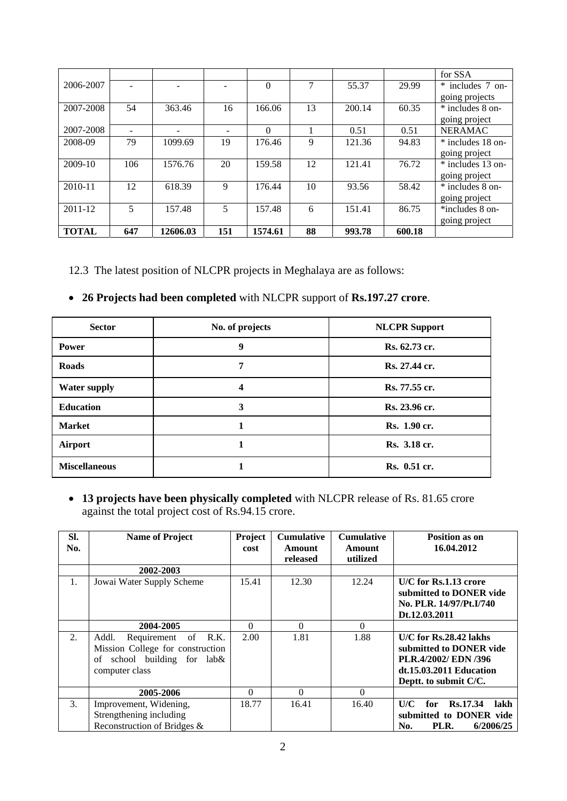|              |     |          |     |          |    |        |        | for SSA             |
|--------------|-----|----------|-----|----------|----|--------|--------|---------------------|
| 2006-2007    |     |          |     | $\Omega$ | 7  | 55.37  | 29.99  | * includes 7 on-    |
|              |     |          |     |          |    |        |        | going projects      |
| 2007-2008    | 54  | 363.46   | 16  | 166.06   | 13 | 200.14 | 60.35  | * includes 8 on-    |
|              |     |          |     |          |    |        |        | going project       |
| 2007-2008    |     |          |     | $\Omega$ |    | 0.51   | 0.51   | <b>NERAMAC</b>      |
| 2008-09      | 79  | 1099.69  | 19  | 176.46   | 9  | 121.36 | 94.83  | $*$ includes 18 on- |
|              |     |          |     |          |    |        |        | going project       |
| 2009-10      | 106 | 1576.76  | 20  | 159.58   | 12 | 121.41 | 76.72  | * includes 13 on-   |
|              |     |          |     |          |    |        |        | going project       |
| $2010 - 11$  | 12  | 618.39   | 9   | 176.44   | 10 | 93.56  | 58.42  | * includes 8 on-    |
|              |     |          |     |          |    |        |        | going project       |
| 2011-12      | 5   | 157.48   | 5   | 157.48   | 6  | 151.41 | 86.75  | *includes 8 on-     |
|              |     |          |     |          |    |        |        | going project       |
| <b>TOTAL</b> | 647 | 12606.03 | 151 | 1574.61  | 88 | 993.78 | 600.18 |                     |

12.3 The latest position of NLCPR projects in Meghalaya are as follows:

## **26 Projects had been completed** with NLCPR support of **Rs.197.27 crore**.

| <b>Sector</b>        | No. of projects | <b>NLCPR</b> Support |
|----------------------|-----------------|----------------------|
| <b>Power</b>         | 9               | Rs. 62.73 cr.        |
| <b>Roads</b>         | 7               | Rs. 27.44 cr.        |
| <b>Water supply</b>  | 4               | Rs. 77.55 cr.        |
| <b>Education</b>     | 3               | Rs. 23.96 cr.        |
| <b>Market</b>        |                 | Rs. 1.90 cr.         |
| Airport              |                 | Rs. 3.18 cr.         |
| <b>Miscellaneous</b> |                 | Rs. 0.51 cr.         |

 **13 projects have been physically completed** with NLCPR release of Rs. 81.65 crore against the total project cost of Rs.94.15 crore.

| SI.<br>No. | <b>Name of Project</b>                                                                                               | <b>Project</b><br>cost | <b>Cumulative</b><br><b>Amount</b><br>released | <b>Cumulative</b><br>Amount<br>utilized | Position as on<br>16.04.2012                                                                                                      |
|------------|----------------------------------------------------------------------------------------------------------------------|------------------------|------------------------------------------------|-----------------------------------------|-----------------------------------------------------------------------------------------------------------------------------------|
|            | 2002-2003                                                                                                            |                        |                                                |                                         |                                                                                                                                   |
| 1.         | Jowai Water Supply Scheme                                                                                            | 15.41                  | 12.30                                          | 12.24                                   | U/C for Rs.1.13 crore<br>submitted to DONER vide<br>No. PLR. 14/97/Pt.I/740<br>Dt.12.03.2011                                      |
|            | 2004-2005                                                                                                            | $\Omega$               | $\Omega$                                       | $\Omega$                                |                                                                                                                                   |
| 2.         | Requirement of R.K.<br>Addl.<br>Mission College for construction<br>school building for lab&<br>οf<br>computer class | 2.00                   | 1.81                                           | 1.88                                    | $U/C$ for $Rs.28.42$ lakhs<br>submitted to DONER vide<br>PLR.4/2002/ EDN /396<br>dt.15.03.2011 Education<br>Deptt. to submit C/C. |
|            | 2005-2006                                                                                                            | $\Omega$               | $\Omega$                                       | $\Omega$                                |                                                                                                                                   |
| 3.         | Improvement, Widening,<br>Strengthening including<br>Reconstruction of Bridges &                                     | 18.77                  | 16.41                                          | 16.40                                   | <b>Rs.17.34</b><br>for<br>lakh<br>U/C<br>submitted to DONER vide<br>6/2006/25<br>PLR.<br>No.                                      |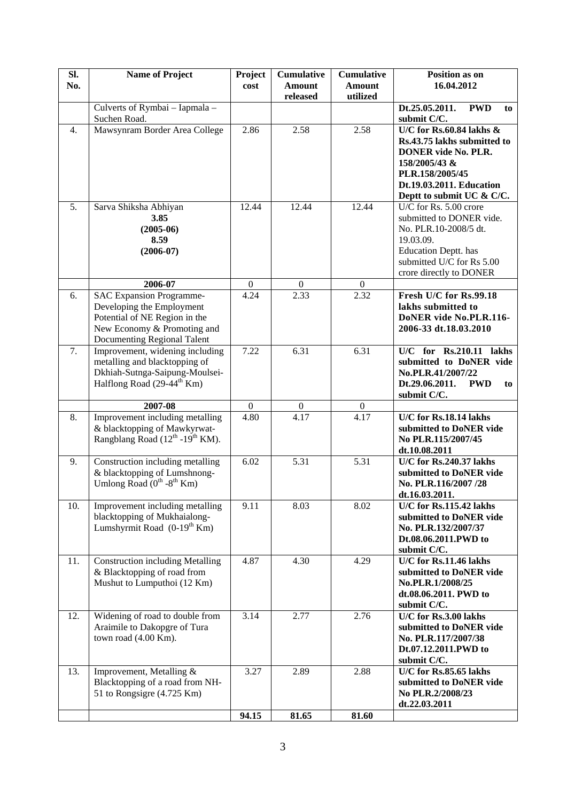| SI.<br>No. | <b>Name of Project</b>                                                                                                                                      | Project<br>cost  | <b>Cumulative</b><br><b>Amount</b> | <b>Cumulative</b><br><b>Amount</b> | Position as on<br>16.04.2012                                                                                                                                                          |
|------------|-------------------------------------------------------------------------------------------------------------------------------------------------------------|------------------|------------------------------------|------------------------------------|---------------------------------------------------------------------------------------------------------------------------------------------------------------------------------------|
|            |                                                                                                                                                             |                  | released                           | utilized                           |                                                                                                                                                                                       |
|            | Culverts of Rymbai - Iapmala -<br>Suchen Road.                                                                                                              |                  |                                    |                                    | Dt.25.05.2011.<br><b>PWD</b><br>to<br>submit C/C.                                                                                                                                     |
| 4.         | Mawsynram Border Area College                                                                                                                               | 2.86             | 2.58                               | 2.58                               | U/C for Rs.60.84 lakhs $\&$<br>Rs.43.75 lakhs submitted to<br><b>DONER</b> vide No. PLR.<br>158/2005/43 &<br>PLR.158/2005/45<br>Dt.19.03.2011. Education<br>Deptt to submit UC & C/C. |
| 5.         | Sarva Shiksha Abhiyan<br>3.85<br>$(2005-06)$<br>8.59<br>$(2006-07)$                                                                                         | 12.44            | 12.44                              | 12.44                              | U/C for Rs. 5.00 crore<br>submitted to DONER vide.<br>No. PLR.10-2008/5 dt.<br>19.03.09.<br><b>Education Deptt.</b> has<br>submitted U/C for Rs 5.00<br>crore directly to DONER       |
|            | 2006-07                                                                                                                                                     | $\overline{0}$   | $\theta$                           | $\overline{0}$                     |                                                                                                                                                                                       |
| 6.         | <b>SAC Expansion Programme-</b><br>Developing the Employment<br>Potential of NE Region in the<br>New Economy & Promoting and<br>Documenting Regional Talent | 4.24             | 2.33                               | 2.32                               | Fresh U/C for Rs.99.18<br>lakhs submitted to<br>DoNER vide No.PLR.116-<br>2006-33 dt.18.03.2010                                                                                       |
| 7.         | Improvement, widening including<br>metalling and blacktopping of<br>Dkhiah-Sutnga-Saipung-Moulsei-<br>Halflong Road (29-44 <sup>th</sup> Km)                | 7.22             | 6.31                               | 6.31                               | $\overline{U/C}$ for Rs.210.11 lakhs<br>submitted to DoNER vide<br>No.PLR.41/2007/22<br>Dt.29.06.2011.<br><b>PWD</b><br>to<br>submit C/C.                                             |
|            | 2007-08                                                                                                                                                     | $\boldsymbol{0}$ | $\mathbf{0}$                       | $\boldsymbol{0}$                   |                                                                                                                                                                                       |
| 8.         | Improvement including metalling<br>& blacktopping of Mawkyrwat-<br>Rangblang Road $(12^{th} - 19^{th}$ KM).                                                 | 4.80             | 4.17                               | 4.17                               | U/C for Rs.18.14 lakhs<br>submitted to DoNER vide<br>No PLR.115/2007/45<br>dt.10.08.2011                                                                                              |
| 9.         | Construction including metalling<br>& blacktopping of Lumshnong-<br>Umlong Road $(0^{th} - 8^{th}$ Km)                                                      | 6.02             | 5.31                               | 5.31                               | U/C for Rs.240.37 lakhs<br>submitted to DoNER vide<br>No. PLR.116/2007/28<br>dt.16.03.2011.                                                                                           |
| 10.        | Improvement including metalling<br>blacktopping of Mukhaialong-<br>Lumshyrmit Road $(0-19^{th}$ Km)                                                         | 9.11             | 8.03                               | 8.02                               | U/C for Rs.115.42 lakhs<br>submitted to DoNER vide<br>No. PLR.132/2007/37<br>Dt.08.06.2011.PWD to<br>submit C/C.                                                                      |
| 11.        | <b>Construction including Metalling</b><br>& Blacktopping of road from<br>Mushut to Lumputhoi (12 Km)                                                       | 4.87             | 4.30                               | 4.29                               | $\overline{U/C}$ for Rs.11.46 lakhs<br>submitted to DoNER vide<br>No.PLR.1/2008/25<br>dt.08.06.2011. PWD to<br>submit C/C.                                                            |
| 12.        | Widening of road to double from<br>Araimile to Dakopgre of Tura<br>town road (4.00 Km).                                                                     | 3.14             | 2.77                               | 2.76                               | U/C for Rs.3.00 lakhs<br>submitted to DoNER vide<br>No. PLR.117/2007/38<br>Dt.07.12.2011.PWD to<br>submit C/C.                                                                        |
| 13.        | Improvement, Metalling &<br>Blacktopping of a road from NH-<br>51 to Rongsigre (4.725 Km)                                                                   | 3.27             | 2.89                               | 2.88                               | U/C for Rs.85.65 lakhs<br>submitted to DoNER vide<br>No PLR.2/2008/23<br>dt.22.03.2011                                                                                                |
|            |                                                                                                                                                             | 94.15            | 81.65                              | 81.60                              |                                                                                                                                                                                       |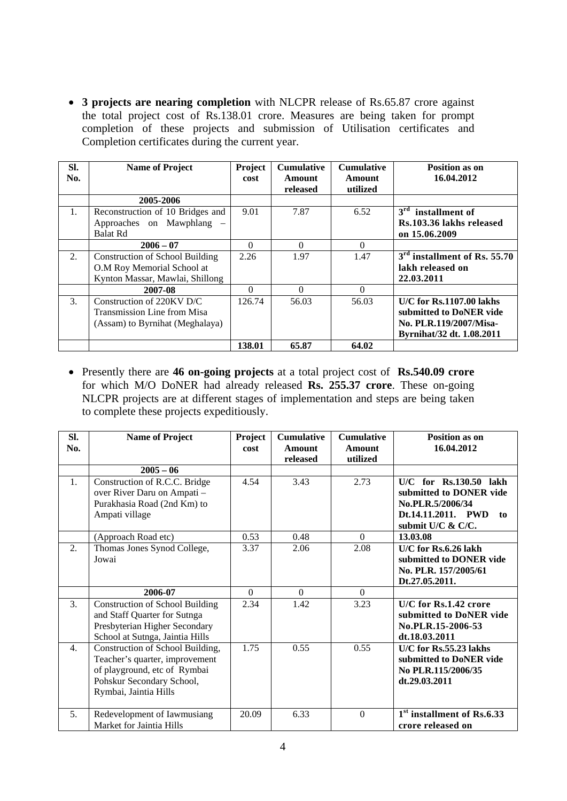**3 projects are nearing completion** with NLCPR release of Rs.65.87 crore against the total project cost of Rs.138.01 crore. Measures are being taken for prompt completion of these projects and submission of Utilisation certificates and Completion certificates during the current year.

| SI.<br>No. | <b>Name of Project</b>                                                                                  | Project<br>cost | <b>Cumulative</b><br>Amount<br>released | <b>Cumulative</b><br><b>Amount</b><br>utilized | <b>Position as on</b><br>16.04.2012                                                                          |
|------------|---------------------------------------------------------------------------------------------------------|-----------------|-----------------------------------------|------------------------------------------------|--------------------------------------------------------------------------------------------------------------|
|            | 2005-2006                                                                                               |                 |                                         |                                                |                                                                                                              |
| 1.         | Reconstruction of 10 Bridges and<br>Approaches on Mawphlang –<br><b>Balat Rd</b>                        | 9.01            | 7.87                                    | 6.52                                           | $3rd$ installment of<br>Rs.103.36 lakhs released<br>on 15.06.2009                                            |
|            | $2006 - 07$                                                                                             | 0               | $\Omega$                                | 0                                              |                                                                                                              |
| 2.         | <b>Construction of School Building</b><br>O.M Roy Memorial School at<br>Kynton Massar, Mawlai, Shillong | 2.26            | 1.97                                    | 1.47                                           | $3rd$ installment of Rs. 55.70<br>lakh released on<br>22.03.2011                                             |
|            | 2007-08                                                                                                 | 0               | 0                                       | $\Omega$                                       |                                                                                                              |
| 3.         | Construction of 220KV D/C<br><b>Transmission Line from Misa</b><br>(Assam) to Byrnihat (Meghalaya)      | 126.74          | 56.03                                   | 56.03                                          | $U/C$ for Rs.1107.00 lakhs<br>submitted to DoNER vide<br>No. PLR.119/2007/Misa-<br>Byrnihat/32 dt. 1.08.2011 |
|            |                                                                                                         | 138.01          | 65.87                                   | 64.02                                          |                                                                                                              |

 Presently there are **46 on-going projects** at a total project cost of **Rs.540.09 crore**  for which M/O DoNER had already released **Rs. 255.37 crore**. These on-going NLCPR projects are at different stages of implementation and steps are being taken to complete these projects expeditiously.

| SI.<br>No. | <b>Name of Project</b>                                                                                                                                   | Project<br>cost | <b>Cumulative</b><br><b>Amount</b><br>released | <b>Cumulative</b><br><b>Amount</b><br>utilized | Position as on<br>16.04.2012                                                                                               |
|------------|----------------------------------------------------------------------------------------------------------------------------------------------------------|-----------------|------------------------------------------------|------------------------------------------------|----------------------------------------------------------------------------------------------------------------------------|
|            | $2005 - 06$                                                                                                                                              |                 |                                                |                                                |                                                                                                                            |
| 1.         | Construction of R.C.C. Bridge<br>over River Daru on Ampati -<br>Purakhasia Road (2nd Km) to<br>Ampati village                                            | 4.54            | 3.43                                           | 2.73                                           | $U/C$ for $Rs.130.50$ lakh<br>submitted to DONER vide<br>No.PLR.5/2006/34<br>Dt.14.11.2011. PWD<br>to<br>submit U/C & C/C. |
|            | (Approach Road etc)                                                                                                                                      | 0.53            | 0.48                                           | $\Omega$                                       | 13.03.08                                                                                                                   |
| 2.         | Thomas Jones Synod College,<br>Jowai                                                                                                                     | 3.37            | 2.06                                           | 2.08                                           | $U/C$ for Rs.6.26 lakh<br>submitted to DONER vide<br>No. PLR. 157/2005/61<br>Dt.27.05.2011.                                |
|            | 2006-07                                                                                                                                                  | $\Omega$        | $\Omega$                                       | $\Omega$                                       |                                                                                                                            |
| 3.         | <b>Construction of School Building</b><br>and Staff Quarter for Sutnga<br>Presbyterian Higher Secondary<br>School at Sutnga, Jaintia Hills               | 2.34            | 1.42                                           | 3.23                                           | $U/C$ for Rs.1.42 crore<br>submitted to DoNER vide<br>No.PLR.15-2006-53<br>dt.18.03.2011                                   |
| 4.         | Construction of School Building,<br>Teacher's quarter, improvement<br>of playground, etc of Rymbai<br>Pohskur Secondary School,<br>Rymbai, Jaintia Hills | 1.75            | 0.55                                           | 0.55                                           | $U/C$ for Rs.55.23 lakhs<br>submitted to DoNER vide<br>No PLR.115/2006/35<br>dt.29.03.2011                                 |
| 5.         | Redevelopment of Iawmusiang<br>Market for Jaintia Hills                                                                                                  | 20.09           | 6.33                                           | $\mathbf{0}$                                   | 1 <sup>st</sup> installment of Rs.6.33<br>crore released on                                                                |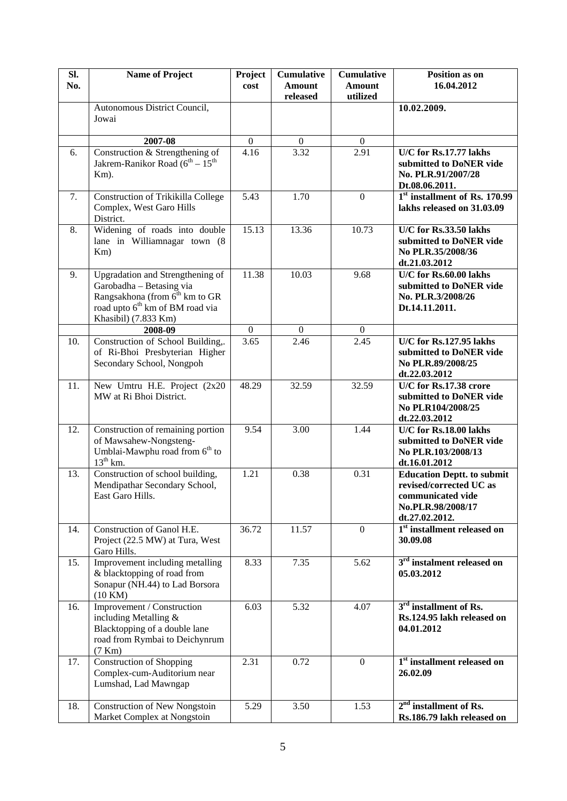| SI.<br>No. | <b>Name of Project</b>                                                                                                                                                            | Project          | <b>Cumulative</b><br><b>Amount</b> | <b>Cumulative</b><br><b>Amount</b> | Position as on<br>16.04.2012                                                                                             |
|------------|-----------------------------------------------------------------------------------------------------------------------------------------------------------------------------------|------------------|------------------------------------|------------------------------------|--------------------------------------------------------------------------------------------------------------------------|
|            |                                                                                                                                                                                   | cost             | released                           | utilized                           |                                                                                                                          |
|            | Autonomous District Council,<br>Jowai                                                                                                                                             |                  |                                    |                                    | 10.02.2009.                                                                                                              |
|            | 2007-08                                                                                                                                                                           | $\boldsymbol{0}$ | $\boldsymbol{0}$                   | $\overline{0}$                     |                                                                                                                          |
| 6.         | Construction & Strengthening of<br>Jakrem-Ranikor Road ( $6^{\text{th}} - 15^{\text{th}}$<br>Km).                                                                                 | 4.16             | $\overline{3.32}$                  | 2.91                               | U/C for Rs.17.77 lakhs<br>submitted to DoNER vide<br>No. PLR.91/2007/28<br>Dt.08.06.2011.                                |
| 7.         | <b>Construction of Trikikilla College</b><br>Complex, West Garo Hills<br>District.                                                                                                | 5.43             | 1.70                               | $\overline{0}$                     | 1 <sup>st</sup> installment of Rs. 170.99<br>lakhs released on 31.03.09                                                  |
| 8.         | Widening of roads into double<br>lane in Williamnagar town (8)<br>Km)                                                                                                             | 15.13            | 13.36                              | 10.73                              | U/C for Rs.33.50 lakhs<br>submitted to DoNER vide<br>No PLR.35/2008/36<br>dt.21.03.2012                                  |
| 9.         | Upgradation and Strengthening of<br>Garobadha - Betasing via<br>Rangsakhona (from 6 <sup>th</sup> km to GR<br>road upto 6 <sup>th</sup> km of BM road via<br>Khasibil) (7.833 Km) | 11.38            | 10.03                              | 9.68                               | U/C for Rs.60.00 lakhs<br>submitted to DoNER vide<br>No. PLR.3/2008/26<br>Dt.14.11.2011.                                 |
|            | 2008-09                                                                                                                                                                           | $\overline{0}$   | $\theta$                           | $\Omega$                           |                                                                                                                          |
| 10.        | Construction of School Building,.<br>of Ri-Bhoi Presbyterian Higher<br>Secondary School, Nongpoh                                                                                  | 3.65             | 2.46                               | 2.45                               | U/C for Rs.127.95 lakhs<br>submitted to DoNER vide<br>No PLR.89/2008/25<br>dt.22.03.2012                                 |
| 11.        | New Umtru H.E. Project (2x20<br>MW at Ri Bhoi District.                                                                                                                           | 48.29            | 32.59                              | 32.59                              | U/C for Rs.17.38 crore<br>submitted to DoNER vide<br>No PLR104/2008/25<br>dt.22.03.2012                                  |
| 12.        | Construction of remaining portion<br>of Mawsahew-Nongsteng-<br>Umblai-Mawphu road from 6 <sup>th</sup> to<br>$13^{th}$ km.                                                        | 9.54             | 3.00                               | 1.44                               | U/C for Rs.18.00 lakhs<br>submitted to DoNER vide<br>No PLR.103/2008/13<br>dt.16.01.2012                                 |
| 13.        | Construction of school building,<br>Mendipathar Secondary School,<br>East Garo Hills.                                                                                             | 1.21             | 0.38                               | 0.31                               | <b>Education Deptt. to submit</b><br>revised/corrected UC as<br>communicated vide<br>No.PLR.98/2008/17<br>dt.27.02.2012. |
| 14.        | Construction of Ganol H.E.<br>Project (22.5 MW) at Tura, West<br>Garo Hills.                                                                                                      | 36.72            | 11.57                              | $\mathbf{0}$                       | 1 <sup>st</sup> installment released on<br>30.09.08                                                                      |
| 15.        | Improvement including metalling<br>& blacktopping of road from<br>Sonapur (NH.44) to Lad Borsora<br>(10 KM)                                                                       | 8.33             | 7.35                               | 5.62                               | 3 <sup>rd</sup> instalment released on<br>05.03.2012                                                                     |
| 16.        | Improvement / Construction<br>including Metalling $&$<br>Blacktopping of a double lane<br>road from Rymbai to Deichynrum<br>(7 Km)                                                | 6.03             | 5.32                               | 4.07                               | 3 <sup>rd</sup> installment of Rs.<br>Rs.124.95 lakh released on<br>04.01.2012                                           |
| 17.        | <b>Construction of Shopping</b><br>Complex-cum-Auditorium near<br>Lumshad, Lad Mawngap                                                                                            | 2.31             | 0.72                               | $\mathbf{0}$                       | 1 <sup>st</sup> installment released on<br>26.02.09                                                                      |
| 18.        | <b>Construction of New Nongstoin</b><br>Market Complex at Nongstoin                                                                                                               | 5.29             | 3.50                               | 1.53                               | $2nd$ installment of Rs.<br>Rs.186.79 lakh released on                                                                   |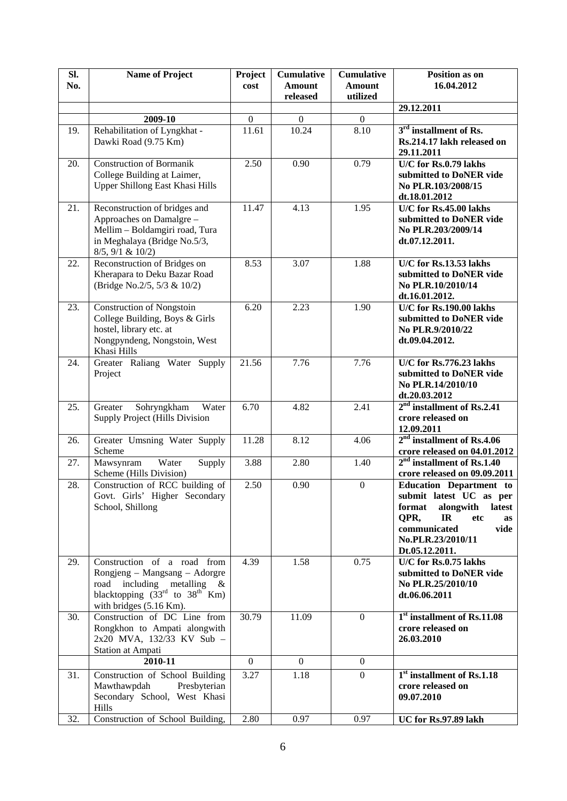| SI.<br>No. | <b>Name of Project</b>                                                                                                                                            | Project<br>cost  | <b>Cumulative</b><br><b>Amount</b> | <b>Cumulative</b><br><b>Amount</b> | Position as on<br>16.04.2012                                                                                                                                                         |
|------------|-------------------------------------------------------------------------------------------------------------------------------------------------------------------|------------------|------------------------------------|------------------------------------|--------------------------------------------------------------------------------------------------------------------------------------------------------------------------------------|
|            |                                                                                                                                                                   |                  | released                           | utilized                           |                                                                                                                                                                                      |
|            |                                                                                                                                                                   |                  |                                    |                                    | 29.12.2011                                                                                                                                                                           |
|            | 2009-10                                                                                                                                                           | $\boldsymbol{0}$ | $\boldsymbol{0}$                   | $\boldsymbol{0}$                   |                                                                                                                                                                                      |
| 19.        | Rehabilitation of Lyngkhat -<br>Dawki Road (9.75 Km)                                                                                                              | 11.61            | 10.24                              | 8.10                               | 3 <sup>rd</sup> installment of Rs.<br>Rs.214.17 lakh released on<br>29.11.2011                                                                                                       |
| 20.        | <b>Construction of Bormanik</b><br>College Building at Laimer,<br>Upper Shillong East Khasi Hills                                                                 | 2.50             | 0.90                               | 0.79                               | U/C for Rs.0.79 lakhs<br>submitted to DoNER vide<br>No PLR.103/2008/15<br>dt.18.01.2012                                                                                              |
| 21.        | Reconstruction of bridges and<br>Approaches on Damalgre -<br>Mellim - Boldamgiri road, Tura<br>in Meghalaya (Bridge No.5/3,<br>8/5, 9/1 & 10/2)                   | 11.47            | 4.13                               | 1.95                               | U/C for Rs.45.00 lakhs<br>submitted to DoNER vide<br>No PLR.203/2009/14<br>dt.07.12.2011.                                                                                            |
| 22.        | Reconstruction of Bridges on<br>Kherapara to Deku Bazar Road<br>(Bridge No.2/5, 5/3 & 10/2)                                                                       | 8.53             | 3.07                               | 1.88                               | U/C for Rs.13.53 lakhs<br>submitted to DoNER vide<br>No PLR.10/2010/14<br>dt.16.01.2012.                                                                                             |
| 23.        | <b>Construction of Nongstoin</b><br>College Building, Boys & Girls<br>hostel, library etc. at<br>Nongpyndeng, Nongstoin, West<br>Khasi Hills                      | 6.20             | 2.23                               | 1.90                               | U/C for Rs.190.00 lakhs<br>submitted to DoNER vide<br>No PLR.9/2010/22<br>dt.09.04.2012.                                                                                             |
| 24.        | Greater Raliang Water Supply<br>Project                                                                                                                           | 21.56            | 7.76                               | 7.76                               | U/C for Rs.776.23 lakhs<br>submitted to DoNER vide<br>No PLR.14/2010/10<br>dt.20.03.2012                                                                                             |
| 25.        | Sohryngkham<br>Water<br>Greater<br>Supply Project (Hills Division                                                                                                 | 6.70             | 4.82                               | 2.41                               | $2nd$ installment of Rs.2.41<br>crore released on<br>12.09.2011                                                                                                                      |
| 26.        | Greater Umsning Water Supply<br>Scheme                                                                                                                            | 11.28            | 8.12                               | 4.06                               | $2nd$ installment of Rs.4.06<br>crore released on 04.01.2012                                                                                                                         |
| 27.        | Water<br>Mawsynram<br>Supply<br>Scheme (Hills Division)                                                                                                           | 3.88             | 2.80                               | 1.40                               | $2nd$ installment of Rs.1.40<br>crore released on 09.09.2011                                                                                                                         |
| 28.        | Construction of RCC building of<br>Govt. Girls' Higher Secondary<br>School, Shillong                                                                              | 2.50             | 0.90                               | $\boldsymbol{0}$                   | <b>Education Department to</b><br>submit latest UC as per<br>format<br>alongwith<br>latest<br>QPR,<br>IR<br>etc<br>as<br>communicated<br>vide<br>No.PLR.23/2010/11<br>Dt.05.12.2011. |
| 29.        | Construction of a road from<br>Rongjeng – Mangsang – Adorgre<br>road including metalling &<br>blacktopping $(33^{rd}$ to $38^{th}$ Km)<br>with bridges (5.16 Km). | 4.39             | 1.58                               | 0.75                               | U/C for Rs.0.75 lakhs<br>submitted to DoNER vide<br>No PLR.25/2010/10<br>dt.06.06.2011                                                                                               |
| 30.        | Construction of DC Line from<br>Rongkhon to Ampati alongwith<br>2x20 MVA, 132/33 KV Sub -<br><b>Station at Ampati</b>                                             | 30.79            | 11.09                              | $\overline{0}$                     | 1 <sup>st</sup> installment of Rs.11.08<br>crore released on<br>26.03.2010                                                                                                           |
|            | 2010-11                                                                                                                                                           | $\boldsymbol{0}$ | $\overline{0}$                     | $\overline{0}$                     |                                                                                                                                                                                      |
| 31.        | Construction of School Building<br>Mawthawpdah<br>Presbyterian<br>Secondary School, West Khasi<br>Hills                                                           | 3.27             | 1.18                               | $\theta$                           | 1 <sup>st</sup> installment of Rs.1.18<br>crore released on<br>09.07.2010                                                                                                            |
| 32.        | Construction of School Building,                                                                                                                                  | 2.80             | 0.97                               | 0.97                               | UC for Rs.97.89 lakh                                                                                                                                                                 |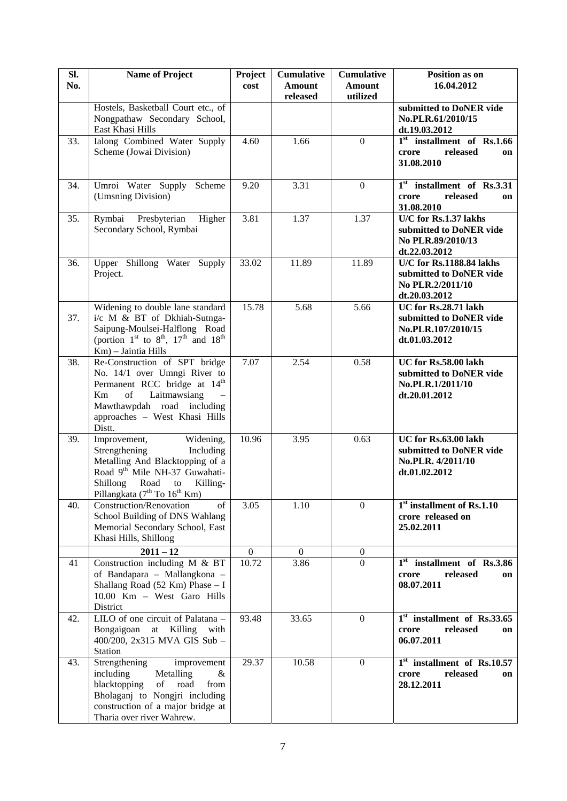| SI.<br>No. | <b>Name of Project</b>                                                                                                                                                                                                    | Project<br>cost  | <b>Cumulative</b><br><b>Amount</b><br>released | <b>Cumulative</b><br><b>Amount</b><br>utilized | Position as on<br>16.04.2012                                                             |
|------------|---------------------------------------------------------------------------------------------------------------------------------------------------------------------------------------------------------------------------|------------------|------------------------------------------------|------------------------------------------------|------------------------------------------------------------------------------------------|
|            | Hostels, Basketball Court etc., of<br>Nongpathaw Secondary School,<br>East Khasi Hills                                                                                                                                    |                  |                                                |                                                | submitted to DoNER vide<br>No.PLR.61/2010/15<br>dt.19.03.2012                            |
| 33.        | Ialong Combined Water Supply<br>Scheme (Jowai Division)                                                                                                                                                                   | 4.60             | 1.66                                           | $\Omega$                                       | $1st$ installment of Rs.1.66<br>released<br>crore<br>on<br>31.08.2010                    |
| 34.        | Umroi Water Supply<br>Scheme<br>(Umsning Division)                                                                                                                                                                        | 9.20             | 3.31                                           | $\mathbf{0}$                                   | $1st$ installment of Rs.3.31<br>released<br>crore<br>on<br>31.08.2010                    |
| 35.        | Rymbai Presbyterian<br>Higher<br>Secondary School, Rymbai                                                                                                                                                                 | 3.81             | 1.37                                           | 1.37                                           | U/C for Rs.1.37 lakhs<br>submitted to DoNER vide<br>No PLR.89/2010/13<br>dt.22.03.2012   |
| 36.        | Upper Shillong Water Supply<br>Project.                                                                                                                                                                                   | 33.02            | 11.89                                          | 11.89                                          | U/C for Rs.1188.84 lakhs<br>submitted to DoNER vide<br>No PLR.2/2011/10<br>dt.20.03.2012 |
| 37.        | Widening to double lane standard<br>i/c M & BT of Dkhiah-Sutnga-<br>Saipung-Moulsei-Halflong Road<br>(portion $1st$ to $8th$ , $17th$ and $18th$<br>Km) - Jaintia Hills                                                   | 15.78            | 5.68                                           | 5.66                                           | UC for Rs.28.71 lakh<br>submitted to DoNER vide<br>No.PLR.107/2010/15<br>dt.01.03.2012   |
| 38.        | Re-Construction of SPT bridge<br>No. 14/1 over Umngi River to<br>Permanent RCC bridge at 14 <sup>th</sup><br>Laitmawsiang<br>of<br>Km<br>Mawthawpdah road including<br>approaches - West Khasi Hills<br>Distt.            | 7.07             | 2.54                                           | 0.58                                           | UC for Rs.58.00 lakh<br>submitted to DoNER vide<br>No.PLR.1/2011/10<br>dt.20.01.2012     |
| 39.        | Improvement,<br>Widening,<br>Strengthening<br>Including<br>Metalling And Blacktopping of a<br>Road 9th Mile NH-37 Guwahati-<br>Shillong<br>Road<br>to<br>Killing-<br>Pillangkata (7 <sup>th</sup> To 16 <sup>th</sup> Km) | 10.96            | 3.95                                           | 0.63                                           | UC for Rs.63.00 lakh<br>submitted to DoNER vide<br>No.PLR. 4/2011/10<br>dt.01.02.2012    |
| 40.        | Construction/Renovation<br>of<br>School Building of DNS Wahlang<br>Memorial Secondary School, East<br>Khasi Hills, Shillong                                                                                               | 3.05             | 1.10                                           | $\mathbf{0}$                                   | $1st$ installment of Rs.1.10<br>crore released on<br>25.02.2011                          |
|            | $2011 - 12$                                                                                                                                                                                                               | $\boldsymbol{0}$ | $\Omega$                                       | $\theta$                                       |                                                                                          |
| 41         | Construction including M & BT<br>of Bandapara - Mallangkona -<br>Shallang Road (52 Km) Phase $- I$<br>10.00 Km - West Garo Hills<br>District                                                                              | 10.72            | 3.86                                           | $\Omega$                                       | $1st$ installment of Rs.3.86<br>released<br>crore<br>on<br>08.07.2011                    |
| 42.        | LILO of one circuit of Palatana -<br>Bongaigoan at Killing with<br>400/200, 2x315 MVA GIS Sub -<br>Station                                                                                                                | 93.48            | 33.65                                          | $\Omega$                                       | $1st$ installment of Rs.33.65<br>released<br>crore<br>on<br>06.07.2011                   |
| 43.        | Strengthening<br>improvement<br>including<br>Metalling<br>&<br>blacktopping<br>of<br>road<br>from<br>Bholaganj to Nongjri including<br>construction of a major bridge at<br>Tharia over river Wahrew.                     | 29.37            | 10.58                                          | $\overline{0}$                                 | $1st$ installment of Rs.10.57<br>released<br>crore<br>on<br>28.12.2011                   |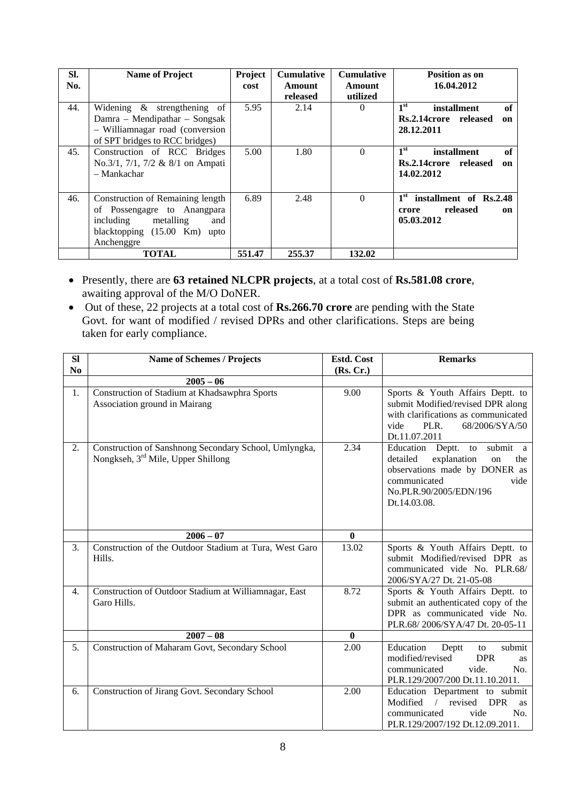| SI.<br>No. | <b>Name of Project</b>                                                                                                                                   | Project<br>cost | <b>Cumulative</b><br>Amount<br>released | <b>Cumulative</b><br>Amount<br>utilized | Position as on<br>16.04.2012                                                        |
|------------|----------------------------------------------------------------------------------------------------------------------------------------------------------|-----------------|-----------------------------------------|-----------------------------------------|-------------------------------------------------------------------------------------|
| 44.        | Widening & strengthening of<br>Damra – Mendipathar – Songsak<br>- Williamnagar road (conversion<br>of SPT bridges to RCC bridges)                        | 5.95            | 2.14                                    | $\theta$                                | 1 <sup>st</sup><br>of<br>installment<br>Rs.2.14crore released<br>on<br>28.12.2011   |
| 45.        | Construction of RCC Bridges<br>No.3/1, 7/1, 7/2 & 8/1 on Ampati<br>- Mankachar                                                                           | 5.00            | 1.80                                    | $\theta$                                | 1 <sup>st</sup><br>of<br>installment<br>Rs.2.14crore released<br>on<br>14.02.2012   |
| 46.        | Construction of Remaining length<br>of Possengagre to Anangpara<br>including metalling<br>and<br>blacktopping $(15.00 \text{ Km})$<br>upto<br>Anchenggre | 6.89            | 2.48                                    | $\Omega$                                | 1 <sup>st</sup><br>installment of Rs.2.48<br>released<br>crore<br>on.<br>05.03.2012 |
|            | <b>TOTAL</b>                                                                                                                                             | 551.47          | 255.37                                  | 132.02                                  |                                                                                     |

- Presently, there are **63 retained NLCPR projects**, at a total cost of **Rs.581.08 crore**, awaiting approval of the M/O DoNER.
- Out of these, 22 projects at a total cost of **Rs.266.70 crore** are pending with the State Govt. for want of modified / revised DPRs and other clarifications. Steps are being taken for early compliance.

| SI             | <b>Name of Schemes / Projects</b>                                                                       | Estd. Cost   | <b>Remarks</b>                                                                                                                                                                |
|----------------|---------------------------------------------------------------------------------------------------------|--------------|-------------------------------------------------------------------------------------------------------------------------------------------------------------------------------|
| N <sub>0</sub> |                                                                                                         | (Rs, Cr.)    |                                                                                                                                                                               |
|                | $2005 - 06$                                                                                             |              |                                                                                                                                                                               |
| 1.             | Construction of Stadium at Khadsawphra Sports<br>Association ground in Mairang                          | 9.00         | Sports & Youth Affairs Deptt. to<br>submit Modified/revised DPR along<br>with clarifications as communicated<br>PLR.<br>68/2006/SYA/50<br>vide<br>Dt.11.07.2011               |
| 2.             | Construction of Sanshnong Secondary School, Umlyngka,<br>Nongkseh, 3 <sup>rd</sup> Mile, Upper Shillong | 2.34         | Education Deptt.<br>submit a<br>to<br>explanation<br>detailed<br>the<br>on<br>observations made by DONER as<br>communicated<br>vide<br>No.PLR.90/2005/EDN/196<br>Dt.14.03.08. |
|                | $2006 - 07$                                                                                             | $\mathbf{0}$ |                                                                                                                                                                               |
| 3.             | Construction of the Outdoor Stadium at Tura, West Garo<br>Hills.                                        | 13.02        | Sports & Youth Affairs Deptt. to<br>submit Modified/revised DPR as<br>communicated vide No. PLR.68/<br>2006/SYA/27 Dt. 21-05-08                                               |
| 4.             | Construction of Outdoor Stadium at Williamnagar, East<br>Garo Hills.                                    | 8.72         | Sports & Youth Affairs Deptt. to<br>submit an authenticated copy of the<br>DPR as communicated vide No.<br>PLR.68/2006/SYA/47 Dt. 20-05-11                                    |
|                | $2007 - 08$                                                                                             | $\mathbf{0}$ |                                                                                                                                                                               |
| 5.             | Construction of Maharam Govt, Secondary School                                                          | 2.00         | Education<br>submit<br>Deptt<br>to<br>modified/revised<br><b>DPR</b><br><b>as</b><br>communicated<br>vide.<br>No.<br>PLR.129/2007/200 Dt.11.10.2011.                          |
| 6.             | Construction of Jirang Govt. Secondary School                                                           | 2.00         | Education Department to submit<br>$\sqrt{ }$<br>revised<br>Modified<br><b>DPR</b><br>as<br>vide<br>No.<br>communicated<br>PLR.129/2007/192 Dt.12.09.2011.                     |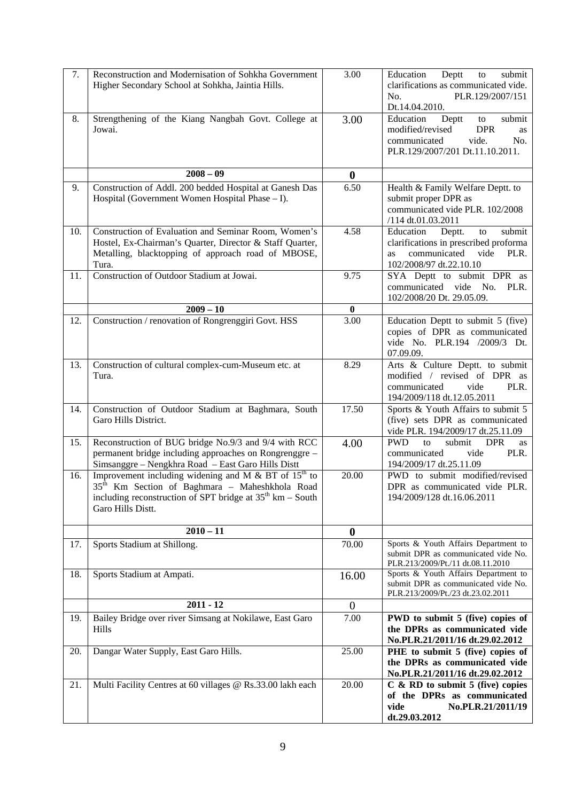| 7.  | Reconstruction and Modernisation of Sohkha Government<br>Higher Secondary School at Sohkha, Jaintia Hills.                                                                                                            | 3.00              | Education<br>Deptt<br>to<br>submit<br>clarifications as communicated vide.<br>PLR.129/2007/151<br>No.<br>Dt.14.04.2010.                              |  |  |  |
|-----|-----------------------------------------------------------------------------------------------------------------------------------------------------------------------------------------------------------------------|-------------------|------------------------------------------------------------------------------------------------------------------------------------------------------|--|--|--|
| 8.  | Strengthening of the Kiang Nangbah Govt. College at<br>Jowai.                                                                                                                                                         | 3.00              | Education<br>Deptt<br>submit<br>to<br>modified/revised<br><b>DPR</b><br>as<br>communicated<br>vide.<br>No.<br>PLR.129/2007/201 Dt.11.10.2011.        |  |  |  |
|     | $2008 - 09$                                                                                                                                                                                                           | $\bf{0}$          |                                                                                                                                                      |  |  |  |
| 9.  | Construction of Addl. 200 bedded Hospital at Ganesh Das<br>Hospital (Government Women Hospital Phase - I).                                                                                                            | 6.50              | Health & Family Welfare Deptt. to<br>submit proper DPR as<br>communicated vide PLR. 102/2008<br>/114 dt.01.03.2011                                   |  |  |  |
| 10. | Construction of Evaluation and Seminar Room, Women's<br>Hostel, Ex-Chairman's Quarter, Director & Staff Quarter,<br>Metalling, blacktopping of approach road of MBOSE,<br>Tura.                                       | 4.58              | submit<br>Education<br>Deptt.<br>to<br>clarifications in prescribed proforma<br>communicated<br>vide<br>PLR.<br><b>as</b><br>102/2008/97 dt.22.10.10 |  |  |  |
| 11. | Construction of Outdoor Stadium at Jowai.                                                                                                                                                                             | 9.75              | SYA Deptt to submit DPR as<br>communicated vide<br>No.<br>PLR.<br>102/2008/20 Dt. 29.05.09.                                                          |  |  |  |
|     | $2009 - 10$                                                                                                                                                                                                           | $\bf{0}$          |                                                                                                                                                      |  |  |  |
| 12. | Construction / renovation of Rongrenggiri Govt. HSS                                                                                                                                                                   | 3.00              | Education Deptt to submit 5 (five)<br>copies of DPR as communicated<br>vide No. PLR.194 /2009/3 Dt.<br>07.09.09.                                     |  |  |  |
| 13. | Construction of cultural complex-cum-Museum etc. at<br>Tura.                                                                                                                                                          | 8.29              | Arts & Culture Deptt. to submit<br>modified / revised of DPR as<br>communicated<br>PLR.<br>vide<br>194/2009/118 dt.12.05.2011                        |  |  |  |
| 14. | Construction of Outdoor Stadium at Baghmara, South<br>Garo Hills District.                                                                                                                                            | 17.50             | Sports & Youth Affairs to submit 5<br>(five) sets DPR as communicated<br>vide PLR. 194/2009/17 dt.25.11.09                                           |  |  |  |
| 15. | Reconstruction of BUG bridge No.9/3 and 9/4 with RCC<br>permanent bridge including approaches on Rongrenggre -<br>Simsanggre - Nengkhra Road - East Garo Hills Distt                                                  | 4.00              | <b>PWD</b><br><b>DPR</b><br>submit<br>to<br>as<br>PLR.<br>communicated<br>vide<br>194/2009/17 dt.25.11.09                                            |  |  |  |
| 16. | Improvement including widening and M $\&$ BT of 15 <sup>th</sup> to<br>35 <sup>th</sup> Km Section of Baghmara - Maheshkhola Road<br>including reconstruction of SPT bridge at $35th$ km – South<br>Garo Hills Distt. | 20.00             | PWD to submit modified/revised<br>DPR as communicated vide PLR.<br>194/2009/128 dt.16.06.2011                                                        |  |  |  |
|     | $2010 - 11$                                                                                                                                                                                                           | $\bf{0}$          |                                                                                                                                                      |  |  |  |
| 17. | Sports Stadium at Shillong.                                                                                                                                                                                           | 70.00             | Sports & Youth Affairs Department to<br>submit DPR as communicated vide No.<br>PLR.213/2009/Pt./11 dt.08.11.2010                                     |  |  |  |
| 18. | Sports Stadium at Ampati.                                                                                                                                                                                             | 16.00             | Sports & Youth Affairs Department to<br>submit DPR as communicated vide No.<br>PLR.213/2009/Pt./23 dt.23.02.2011                                     |  |  |  |
|     | $2011 - 12$                                                                                                                                                                                                           | $\mathbf{0}$      |                                                                                                                                                      |  |  |  |
| 19. | Bailey Bridge over river Simsang at Nokilawe, East Garo<br>Hills                                                                                                                                                      | $\overline{7.00}$ | PWD to submit 5 (five) copies of<br>the DPRs as communicated vide<br>No.PLR.21/2011/16 dt.29.02.2012                                                 |  |  |  |
| 20. | Dangar Water Supply, East Garo Hills.                                                                                                                                                                                 | 25.00             | PHE to submit 5 (five) copies of<br>the DPRs as communicated vide<br>No.PLR.21/2011/16 dt.29.02.2012                                                 |  |  |  |
| 21. | Multi Facility Centres at 60 villages @ Rs.33.00 lakh each                                                                                                                                                            | 20.00             | $C$ & RD to submit 5 (five) copies<br>of the DPRs as communicated<br>vide<br>No.PLR.21/2011/19<br>dt.29.03.2012                                      |  |  |  |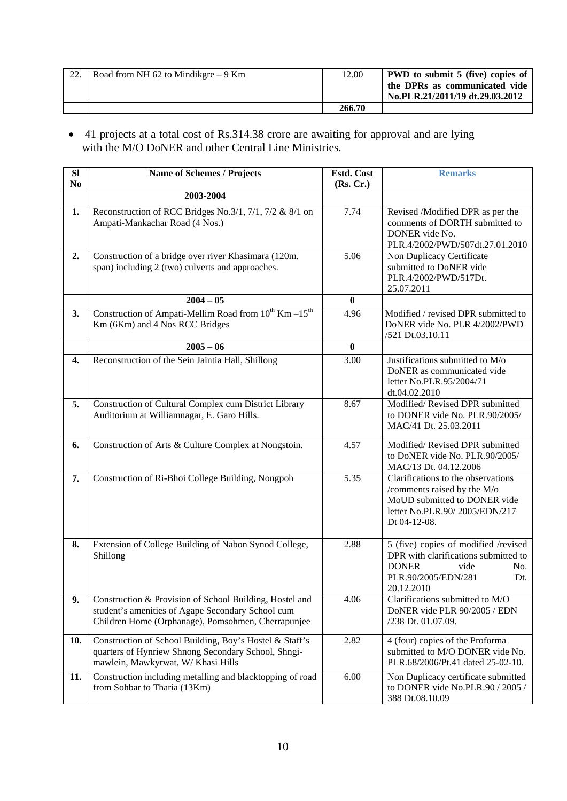| 22. | Road from NH 62 to Mindikgre $-9$ Km | 12.00  | <b>PWD</b> to submit 5 (five) copies of                          |
|-----|--------------------------------------|--------|------------------------------------------------------------------|
|     |                                      |        | the DPRs as communicated vide<br>No.PLR.21/2011/19 dt.29.03.2012 |
|     |                                      |        |                                                                  |
|     |                                      | 266.70 |                                                                  |

• 41 projects at a total cost of Rs.314.38 crore are awaiting for approval and are lying with the M/O DoNER and other Central Line Ministries.

| SI             | <b>Name of Schemes / Projects</b>                                                                                                                                  | Estd. Cost        | <b>Remarks</b>                                                                                                                                          |  |  |
|----------------|--------------------------------------------------------------------------------------------------------------------------------------------------------------------|-------------------|---------------------------------------------------------------------------------------------------------------------------------------------------------|--|--|
| N <sub>0</sub> | 2003-2004                                                                                                                                                          | (Rs, Cr.)         |                                                                                                                                                         |  |  |
| 1.             | Reconstruction of RCC Bridges No.3/1, 7/1, 7/2 & 8/1 on<br>Ampati-Mankachar Road (4 Nos.)                                                                          | 7.74              | Revised /Modified DPR as per the<br>comments of DORTH submitted to<br>DONER vide No.<br>PLR.4/2002/PWD/507dt.27.01.2010                                 |  |  |
| 2.             | Construction of a bridge over river Khasimara (120m.<br>span) including 2 (two) culverts and approaches.                                                           | 5.06              | Non Duplicacy Certificate<br>submitted to DoNER vide<br>PLR.4/2002/PWD/517Dt.<br>25.07.2011                                                             |  |  |
|                | $2004 - 05$                                                                                                                                                        | $\bf{0}$          |                                                                                                                                                         |  |  |
| 3.             | Construction of Ampati-Mellim Road from $10^{th}$ Km $-15^{th}$<br>Km (6Km) and 4 Nos RCC Bridges                                                                  | 4.96              | Modified / revised DPR submitted to<br>DoNER vide No. PLR 4/2002/PWD<br>/521 Dt.03.10.11                                                                |  |  |
|                | $2005 - 06$                                                                                                                                                        | $\bf{0}$          |                                                                                                                                                         |  |  |
| 4.             | Reconstruction of the Sein Jaintia Hall, Shillong                                                                                                                  | $\overline{3.00}$ | Justifications submitted to M/o<br>DoNER as communicated vide<br>letter No.PLR.95/2004/71<br>dt.04.02.2010                                              |  |  |
| 5.             | Construction of Cultural Complex cum District Library<br>Auditorium at Williamnagar, E. Garo Hills.                                                                | 8.67              | Modified/Revised DPR submitted<br>to DONER vide No. PLR.90/2005/<br>MAC/41 Dt. 25.03.2011                                                               |  |  |
| 6.             | Construction of Arts & Culture Complex at Nongstoin.                                                                                                               | 4.57              | Modified/Revised DPR submitted<br>to DoNER vide No. PLR.90/2005/<br>MAC/13 Dt. 04.12.2006                                                               |  |  |
| 7.             | Construction of Ri-Bhoi College Building, Nongpoh                                                                                                                  | 5.35              | Clarifications to the observations<br>/comments raised by the M/o<br>MoUD submitted to DONER vide<br>letter No.PLR.90/2005/EDN/217<br>Dt 04-12-08.      |  |  |
| 8.             | Extension of College Building of Nabon Synod College,<br>Shillong                                                                                                  | 2.88              | 5 (five) copies of modified /revised<br>DPR with clarifications submitted to<br><b>DONER</b><br>vide<br>No.<br>PLR.90/2005/EDN/281<br>Dt.<br>20.12.2010 |  |  |
| 9.             | Construction & Provision of School Building, Hostel and<br>student's amenities of Agape Secondary School cum<br>Children Home (Orphanage), Pomsohmen, Cherrapunjee | 4.06              | Clarifications submitted to M/O<br>DoNER vide PLR 90/2005 / EDN<br>/238 Dt. 01.07.09.                                                                   |  |  |
| 10.            | Construction of School Building, Boy's Hostel & Staff's<br>quarters of Hynriew Shnong Secondary School, Shngi-<br>mawlein, Mawkyrwat, W/Khasi Hills                | 2.82              | 4 (four) copies of the Proforma<br>submitted to M/O DONER vide No.<br>PLR.68/2006/Pt.41 dated 25-02-10.                                                 |  |  |
| 11.            | Construction including metalling and blacktopping of road<br>from Sohbar to Tharia (13Km)                                                                          | 6.00              | Non Duplicacy certificate submitted<br>to DONER vide No.PLR.90 / 2005 /<br>388 Dt.08.10.09                                                              |  |  |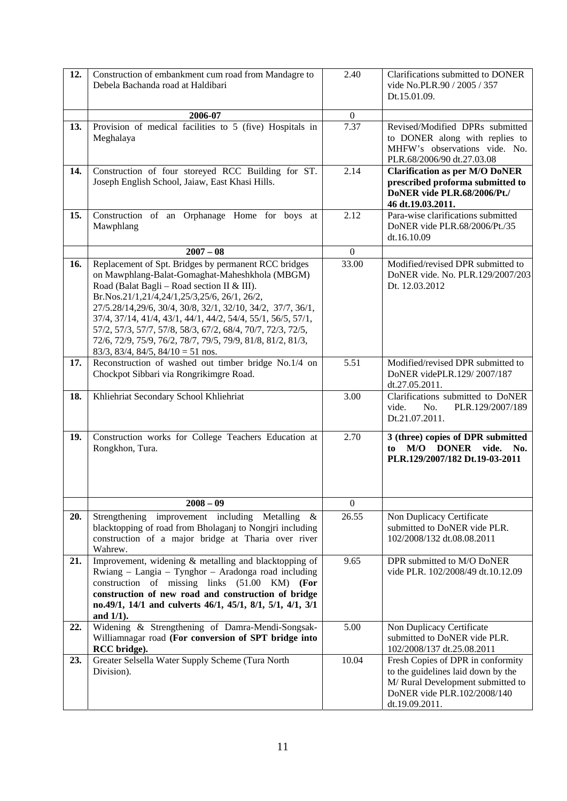| 12. | Construction of embankment cum road from Mandagre to<br>Debela Bachanda road at Haldibari                                                                                                                                                                                                                                                                                                                                                                                                                          | 2.40             | Clarifications submitted to DONER<br>vide No.PLR.90 / 2005 / 357<br>Dt.15.01.09.                                                                              |  |  |
|-----|--------------------------------------------------------------------------------------------------------------------------------------------------------------------------------------------------------------------------------------------------------------------------------------------------------------------------------------------------------------------------------------------------------------------------------------------------------------------------------------------------------------------|------------------|---------------------------------------------------------------------------------------------------------------------------------------------------------------|--|--|
|     | 2006-07                                                                                                                                                                                                                                                                                                                                                                                                                                                                                                            | $\boldsymbol{0}$ |                                                                                                                                                               |  |  |
| 13. | Provision of medical facilities to 5 (five) Hospitals in<br>Meghalaya                                                                                                                                                                                                                                                                                                                                                                                                                                              | 7.37             | Revised/Modified DPRs submitted<br>to DONER along with replies to<br>MHFW's observations vide. No.<br>PLR.68/2006/90 dt.27.03.08                              |  |  |
| 14. | Construction of four storeyed RCC Building for ST.<br>Joseph English School, Jaiaw, East Khasi Hills.                                                                                                                                                                                                                                                                                                                                                                                                              | 2.14             | <b>Clarification as per M/O DoNER</b><br>prescribed proforma submitted to<br>DoNER vide PLR.68/2006/Pt./<br>46 dt.19.03.2011.                                 |  |  |
| 15. | Construction of an Orphanage Home for boys at<br>Mawphlang                                                                                                                                                                                                                                                                                                                                                                                                                                                         | 2.12             | Para-wise clarifications submitted<br>DoNER vide PLR.68/2006/Pt./35<br>dt.16.10.09                                                                            |  |  |
|     | $2007 - 08$                                                                                                                                                                                                                                                                                                                                                                                                                                                                                                        | $\mathbf{0}$     |                                                                                                                                                               |  |  |
| 16. | Replacement of Spt. Bridges by permanent RCC bridges<br>on Mawphlang-Balat-Gomaghat-Maheshkhola (MBGM)<br>Road (Balat Bagli – Road section II & III).<br>Br.Nos.21/1,21/4,24/1,25/3,25/6, 26/1, 26/2,<br>27/5.28/14,29/6, 30/4, 30/8, 32/1, 32/10, 34/2, 37/7, 36/1,<br>37/4, 37/14, 41/4, 43/1, 44/1, 44/2, 54/4, 55/1, 56/5, 57/1,<br>57/2, 57/3, 57/7, 57/8, 58/3, 67/2, 68/4, 70/7, 72/3, 72/5,<br>72/6, 72/9, 75/9, 76/2, 78/7, 79/5, 79/9, 81/8, 81/2, 81/3,<br>$83/3$ , $83/4$ , $84/5$ , $84/10 = 51$ nos. | 33.00            | Modified/revised DPR submitted to<br>DoNER vide. No. PLR.129/2007/203<br>Dt. 12.03.2012                                                                       |  |  |
| 17. | Reconstruction of washed out timber bridge No.1/4 on<br>Chockpot Sibbari via Rongrikimgre Road.                                                                                                                                                                                                                                                                                                                                                                                                                    | 5.51             | Modified/revised DPR submitted to<br>DoNER videPLR.129/2007/187<br>dt.27.05.2011.                                                                             |  |  |
| 18. | Khliehriat Secondary School Khliehriat                                                                                                                                                                                                                                                                                                                                                                                                                                                                             | 3.00             | Clarifications submitted to DoNER<br>No.<br>PLR.129/2007/189<br>vide.<br>Dt.21.07.2011.                                                                       |  |  |
| 19. | Construction works for College Teachers Education at<br>Rongkhon, Tura.                                                                                                                                                                                                                                                                                                                                                                                                                                            | 2.70             | 3 (three) copies of DPR submitted<br>M/O DONER<br>vide.<br>No.<br>to<br>PLR.129/2007/182 Dt.19-03-2011                                                        |  |  |
|     | $2008 - 09$                                                                                                                                                                                                                                                                                                                                                                                                                                                                                                        | $\overline{0}$   |                                                                                                                                                               |  |  |
| 20. | Strengthening improvement including Metalling<br>&<br>blacktopping of road from Bholaganj to Nongjri including<br>construction of a major bridge at Tharia over river<br>Wahrew.                                                                                                                                                                                                                                                                                                                                   | 26.55            | Non Duplicacy Certificate<br>submitted to DoNER vide PLR.<br>102/2008/132 dt.08.08.2011                                                                       |  |  |
| 21. | Improvement, widening & metalling and blacktopping of<br>Rwiang – Langia – Tynghor – Aradonga road including<br>construction of missing links (51.00 KM) (For<br>construction of new road and construction of bridge<br>no.49/1, 14/1 and culverts 46/1, 45/1, 8/1, 5/1, 4/1, 3/1<br>and $1/1$ ).                                                                                                                                                                                                                  | 9.65             | DPR submitted to M/O DoNER<br>vide PLR. 102/2008/49 dt.10.12.09                                                                                               |  |  |
| 22. | Widening & Strengthening of Damra-Mendi-Songsak-<br>Williamnagar road (For conversion of SPT bridge into<br>RCC bridge).                                                                                                                                                                                                                                                                                                                                                                                           | 5.00             | Non Duplicacy Certificate<br>submitted to DoNER vide PLR.<br>102/2008/137 dt.25.08.2011                                                                       |  |  |
| 23. | Greater Selsella Water Supply Scheme (Tura North<br>Division).                                                                                                                                                                                                                                                                                                                                                                                                                                                     | 10.04            | Fresh Copies of DPR in conformity<br>to the guidelines laid down by the<br>M/ Rural Development submitted to<br>DoNER vide PLR.102/2008/140<br>dt.19.09.2011. |  |  |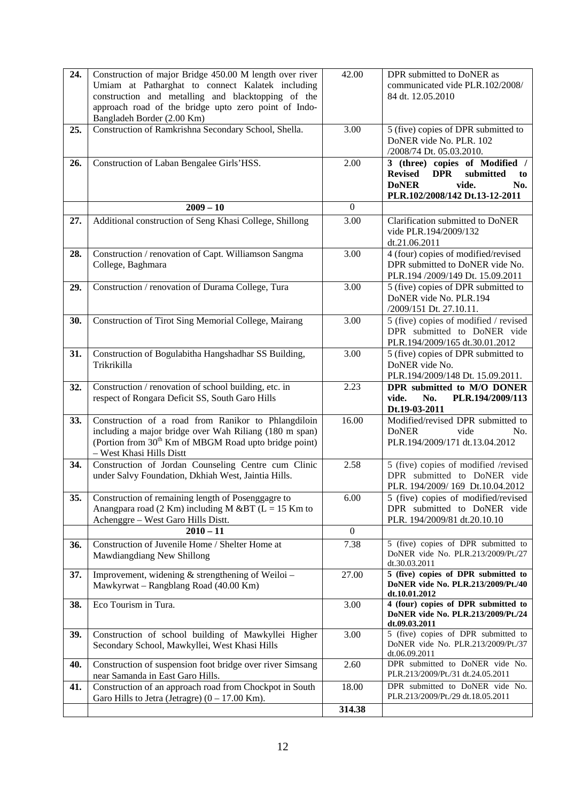| 24. | Construction of major Bridge 450.00 M length over river<br>Umiam at Patharghat to connect Kalatek including<br>construction and metalling and blacktopping of the<br>approach road of the bridge upto zero point of Indo-<br>Bangladeh Border (2.00 Km) | 42.00             | DPR submitted to DoNER as<br>communicated vide PLR.102/2008/<br>84 dt. 12.05.2010                                                                   |  |  |
|-----|---------------------------------------------------------------------------------------------------------------------------------------------------------------------------------------------------------------------------------------------------------|-------------------|-----------------------------------------------------------------------------------------------------------------------------------------------------|--|--|
| 25. | Construction of Ramkrishna Secondary School, Shella.                                                                                                                                                                                                    | 3.00              | 5 (five) copies of DPR submitted to<br>DoNER vide No. PLR. 102<br>/2008/74 Dt. 05.03.2010.                                                          |  |  |
| 26. | Construction of Laban Bengalee Girls'HSS.                                                                                                                                                                                                               | 2.00              | 3 (three) copies of Modified /<br><b>DPR</b><br>submitted<br><b>Revised</b><br>to<br>vide.<br><b>DoNER</b><br>No.<br>PLR.102/2008/142 Dt.13-12-2011 |  |  |
|     | $2009 - 10$                                                                                                                                                                                                                                             | $\mathbf{0}$      |                                                                                                                                                     |  |  |
| 27. | Additional construction of Seng Khasi College, Shillong                                                                                                                                                                                                 | 3.00              | Clarification submitted to DoNER<br>vide PLR.194/2009/132<br>dt.21.06.2011                                                                          |  |  |
| 28. | Construction / renovation of Capt. Williamson Sangma<br>College, Baghmara                                                                                                                                                                               | 3.00              | 4 (four) copies of modified/revised<br>DPR submitted to DoNER vide No.<br>PLR.194 /2009/149 Dt. 15.09.2011                                          |  |  |
| 29. | Construction / renovation of Durama College, Tura                                                                                                                                                                                                       | 3.00              | 5 (five) copies of DPR submitted to<br>DoNER vide No. PLR.194<br>/2009/151 Dt. 27.10.11.                                                            |  |  |
| 30. | Construction of Tirot Sing Memorial College, Mairang                                                                                                                                                                                                    | 3.00              | 5 (five) copies of modified / revised<br>DPR submitted to DoNER vide<br>PLR.194/2009/165 dt.30.01.2012                                              |  |  |
| 31. | Construction of Bogulabitha Hangshadhar SS Building,<br>Trikrikilla                                                                                                                                                                                     | $\overline{3.00}$ | 5 (five) copies of DPR submitted to<br>DoNER vide No.<br>PLR.194/2009/148 Dt. 15.09.2011.                                                           |  |  |
| 32. | Construction / renovation of school building, etc. in<br>respect of Rongara Deficit SS, South Garo Hills                                                                                                                                                | 2.23              | DPR submitted to M/O DONER<br>vide.<br>PLR.194/2009/113<br>No.                                                                                      |  |  |
|     |                                                                                                                                                                                                                                                         |                   | Dt.19-03-2011                                                                                                                                       |  |  |
| 33. | Construction of a road from Ranikor to Phlangdiloin<br>including a major bridge over Wah Riliang (180 m span)<br>(Portion from 30 <sup>th</sup> Km of MBGM Road upto bridge point)<br>- West Khasi Hills Distt                                          | 16.00             | Modified/revised DPR submitted to<br><b>DoNER</b><br>vide<br>No.<br>PLR.194/2009/171 dt.13.04.2012                                                  |  |  |
| 34. | Construction of Jordan Counseling Centre cum Clinic<br>under Salvy Foundation, Dkhiah West, Jaintia Hills.                                                                                                                                              | 2.58              | 5 (five) copies of modified /revised<br>DPR submitted to DoNER vide<br>PLR. 194/2009/169 Dt.10.04.2012                                              |  |  |
| 35. | Construction of remaining length of Posenggagre to<br>Anangpara road (2 Km) including M &BT ( $L = 15$ Km to<br>Achenggre - West Garo Hills Distt.                                                                                                      | 6.00              | 5 (five) copies of modified/revised<br>DPR submitted to DoNER vide<br>PLR. 194/2009/81 dt.20.10.10                                                  |  |  |
|     | $2010 - 11$                                                                                                                                                                                                                                             | $\mathbf{0}$      |                                                                                                                                                     |  |  |
| 36. | Construction of Juvenile Home / Shelter Home at<br>Mawdiangdiang New Shillong                                                                                                                                                                           | 7.38              | 5 (five) copies of DPR submitted to<br>DoNER vide No. PLR.213/2009/Pt./27<br>dt.30.03.2011                                                          |  |  |
| 37. | Improvement, widening $&$ strengthening of Weiloi –<br>Mawkyrwat - Rangblang Road (40.00 Km)                                                                                                                                                            | 27.00             | 5 (five) copies of DPR submitted to<br>DoNER vide No. PLR.213/2009/Pt./40<br>dt.10.01.2012                                                          |  |  |
| 38. | Eco Tourism in Tura.                                                                                                                                                                                                                                    | 3.00              | 4 (four) copies of DPR submitted to<br>DoNER vide No. PLR.213/2009/Pt./24<br>dt.09.03.2011                                                          |  |  |
| 39. | Construction of school building of Mawkyllei Higher<br>Secondary School, Mawkyllei, West Khasi Hills                                                                                                                                                    | 3.00              | 5 (five) copies of DPR submitted to<br>DoNER vide No. PLR.213/2009/Pt./37<br>dt.06.09.2011                                                          |  |  |
| 40. | Construction of suspension foot bridge over river Simsang<br>near Samanda in East Garo Hills.                                                                                                                                                           | 2.60              | DPR submitted to DoNER vide No.<br>PLR.213/2009/Pt./31 dt.24.05.2011                                                                                |  |  |
| 41. | Construction of an approach road from Chockpot in South<br>Garo Hills to Jetra (Jetragre) $(0 - 17.00 \text{ Km})$ .                                                                                                                                    | 18.00             | DPR submitted to DoNER vide No.<br>PLR.213/2009/Pt./29 dt.18.05.2011                                                                                |  |  |